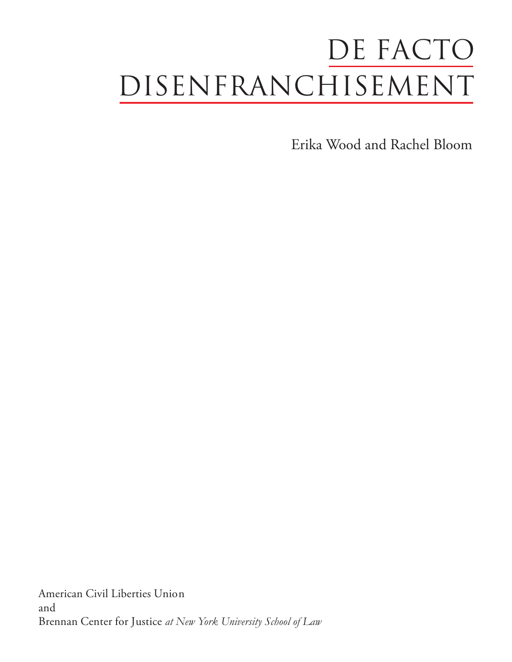# DE FACTO DIsenfRanChIsemenT

Erika Wood and Rachel Bloom

American Civil Liberties Union and Brennan Center for Justice *at New York University School of Law*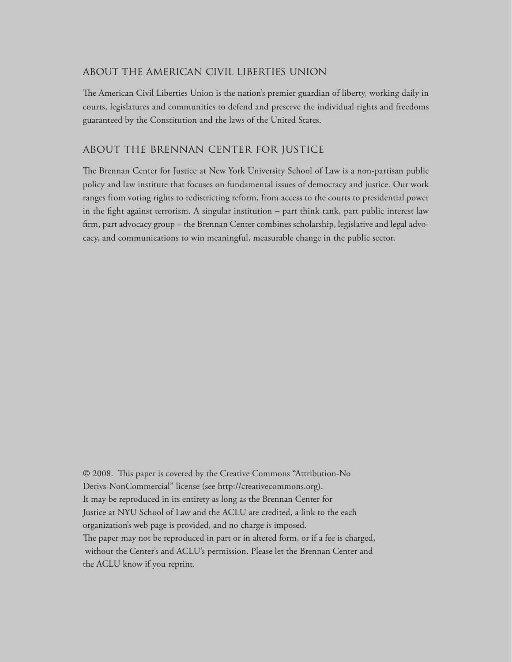#### about the american civil liberties union

The American Civil Liberties Union is the nation's premier guardian of liberty, working daily in courts, legislatures and communities to defend and preserve the individual rights and freedoms guaranteed by the Constitution and the laws of the United States.

#### about the brennan center for justice

The Brennan Center for Justice at New York University School of Law is a non-partisan public policy and law institute that focuses on fundamental issues of democracy and justice. Our work ranges from voting rights to redistricting reform, from access to the courts to presidential power in the fight against terrorism. A singular institution – part think tank, part public interest law firm, part advocacy group – the Brennan Center combines scholarship, legislative and legal advocacy, and communications to win meaningful, measurable change in the public sector.

© 2008. This paper is covered by the Creative Commons "Attribution-No Derivs-NonCommercial" license (see http://creativecommons.org). It may be reproduced in its entirety as long as the Brennan Center for Justice at NYU School of Law and the ACLU are credited, a link to the each organization's web page is provided, and no charge is imposed. The paper may not be reproduced in part or in altered form, or if a fee is charged, without the Center's and ACLU's permission. Please let the Brennan Center and the ACLU know if you reprint.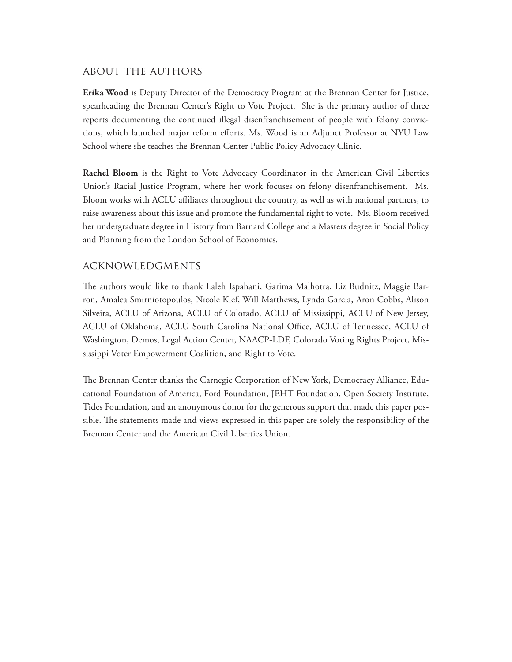# about the authors

**Erika Wood** is Deputy Director of the Democracy Program at the Brennan Center for Justice, spearheading the Brennan Center's Right to Vote Project. She is the primary author of three reports documenting the continued illegal disenfranchisement of people with felony convictions, which launched major reform efforts. Ms. Wood is an Adjunct Professor at NYU Law School where she teaches the Brennan Center Public Policy Advocacy Clinic.

**Rachel Bloom** is the Right to Vote Advocacy Coordinator in the American Civil Liberties Union's Racial Justice Program, where her work focuses on felony disenfranchisement. Ms. Bloom works with ACLU affiliates throughout the country, as well as with national partners, to raise awareness about this issue and promote the fundamental right to vote. Ms. Bloom received her undergraduate degree in History from Barnard College and a Masters degree in Social Policy and Planning from the London School of Economics.

# acknowledgments

The authors would like to thank Laleh Ispahani, Garima Malhotra, Liz Budnitz, Maggie Barron, Amalea Smirniotopoulos, Nicole Kief, Will Matthews, Lynda Garcia, Aron Cobbs, Alison Silveira, ACLU of Arizona, ACLU of Colorado, ACLU of Mississippi, ACLU of New Jersey, ACLU of Oklahoma, ACLU South Carolina National Office, ACLU of Tennessee, ACLU of Washington, Demos, Legal Action Center, NAACP-LDF, Colorado Voting Rights Project, Mississippi Voter Empowerment Coalition, and Right to Vote.

The Brennan Center thanks the Carnegie Corporation of New York, Democracy Alliance, Educational Foundation of America, Ford Foundation, JEHT Foundation, Open Society Institute, Tides Foundation, and an anonymous donor for the generous support that made this paper possible. The statements made and views expressed in this paper are solely the responsibility of the Brennan Center and the American Civil Liberties Union.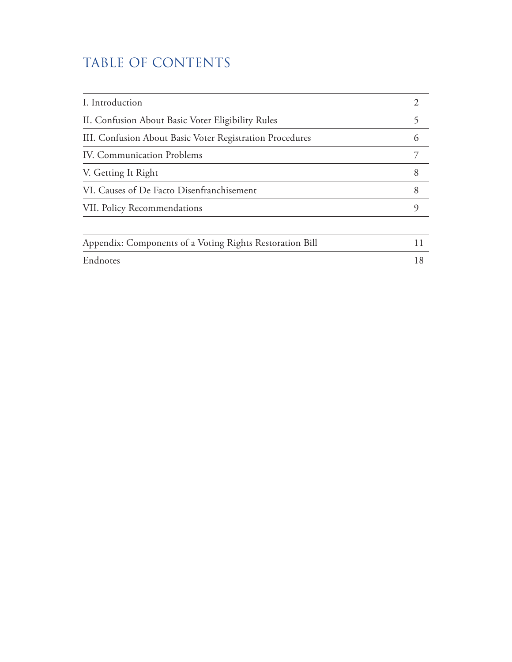# TABLE OF CONTENTS

| I. Introduction                                          |    |
|----------------------------------------------------------|----|
| II. Confusion About Basic Voter Eligibility Rules        |    |
| III. Confusion About Basic Voter Registration Procedures | 6  |
| <b>IV. Communication Problems</b>                        |    |
| V. Getting It Right                                      | 8  |
| VI. Causes of De Facto Disenfranchisement                | 8  |
| VII. Policy Recommendations                              | 9  |
| Appendix: Components of a Voting Rights Restoration Bill | 11 |
| Endnotes                                                 | 18 |
|                                                          |    |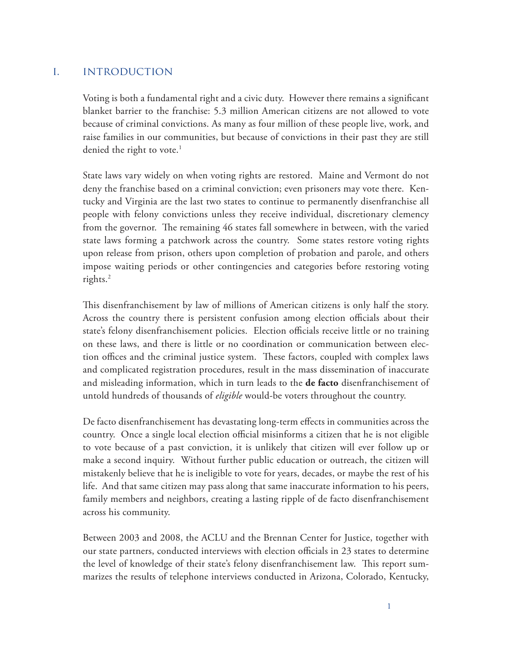# i. introduction

Voting is both a fundamental right and a civic duty. However there remains a significant blanket barrier to the franchise: 5.3 million American citizens are not allowed to vote because of criminal convictions. As many as four million of these people live, work, and raise families in our communities, but because of convictions in their past they are still denied the right to vote.<sup>1</sup>

State laws vary widely on when voting rights are restored. Maine and Vermont do not deny the franchise based on a criminal conviction; even prisoners may vote there. Kentucky and Virginia are the last two states to continue to permanently disenfranchise all people with felony convictions unless they receive individual, discretionary clemency from the governor. The remaining 46 states fall somewhere in between, with the varied state laws forming a patchwork across the country. Some states restore voting rights upon release from prison, others upon completion of probation and parole, and others impose waiting periods or other contingencies and categories before restoring voting rights.2

This disenfranchisement by law of millions of American citizens is only half the story. Across the country there is persistent confusion among election officials about their state's felony disenfranchisement policies. Election officials receive little or no training on these laws, and there is little or no coordination or communication between election offices and the criminal justice system. These factors, coupled with complex laws and complicated registration procedures, result in the mass dissemination of inaccurate and misleading information, which in turn leads to the **de facto** disenfranchisement of untold hundreds of thousands of *eligible* would-be voters throughout the country.

De facto disenfranchisement has devastating long-term effects in communities across the country. Once a single local election official misinforms a citizen that he is not eligible to vote because of a past conviction, it is unlikely that citizen will ever follow up or make a second inquiry. Without further public education or outreach, the citizen will mistakenly believe that he is ineligible to vote for years, decades, or maybe the rest of his life. And that same citizen may pass along that same inaccurate information to his peers, family members and neighbors, creating a lasting ripple of de facto disenfranchisement across his community.

Between 2003 and 2008, the ACLU and the Brennan Center for Justice, together with our state partners, conducted interviews with election officials in 23 states to determine the level of knowledge of their state's felony disenfranchisement law. This report summarizes the results of telephone interviews conducted in Arizona, Colorado, Kentucky,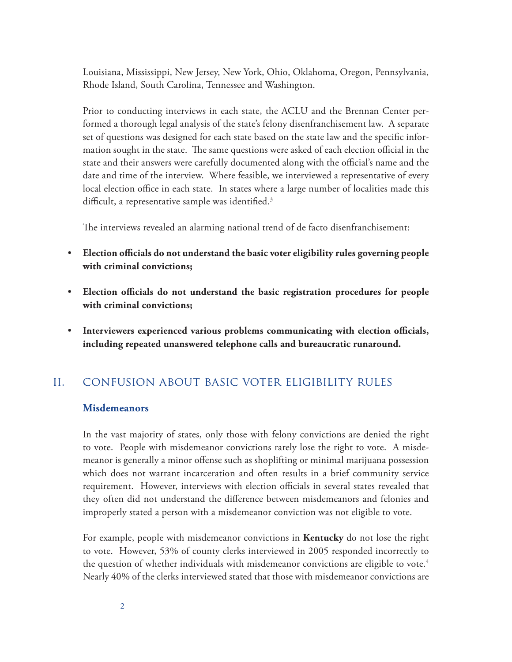Louisiana, Mississippi, New Jersey, New York, Ohio, Oklahoma, Oregon, Pennsylvania, Rhode Island, South Carolina, Tennessee and Washington.

Prior to conducting interviews in each state, the ACLU and the Brennan Center performed a thorough legal analysis of the state's felony disenfranchisement law. A separate set of questions was designed for each state based on the state law and the specific information sought in the state. The same questions were asked of each election official in the state and their answers were carefully documented along with the official's name and the date and time of the interview. Where feasible, we interviewed a representative of every local election office in each state. In states where a large number of localities made this difficult, a representative sample was identified.<sup>3</sup>

The interviews revealed an alarming national trend of de facto disenfranchisement:

- • **Election officials do not understand the basic voter eligibility rules governing people with criminal convictions;**
- • **Election officials do not understand the basic registration procedures for people with criminal convictions;**
- • **Interviewers experienced various problems communicating with election officials, including repeated unanswered telephone calls and bureaucratic runaround.**

# ii. confusion about basic voter eligibility rules

#### **Misdemeanors**

In the vast majority of states, only those with felony convictions are denied the right to vote. People with misdemeanor convictions rarely lose the right to vote. A misdemeanor is generally a minor offense such as shoplifting or minimal marijuana possession which does not warrant incarceration and often results in a brief community service requirement. However, interviews with election officials in several states revealed that they often did not understand the difference between misdemeanors and felonies and improperly stated a person with a misdemeanor conviction was not eligible to vote.

For example, people with misdemeanor convictions in **Kentucky** do not lose the right to vote. However, 53% of county clerks interviewed in 2005 responded incorrectly to the question of whether individuals with misdemeanor convictions are eligible to vote.<sup>4</sup> Nearly 40% of the clerks interviewed stated that those with misdemeanor convictions are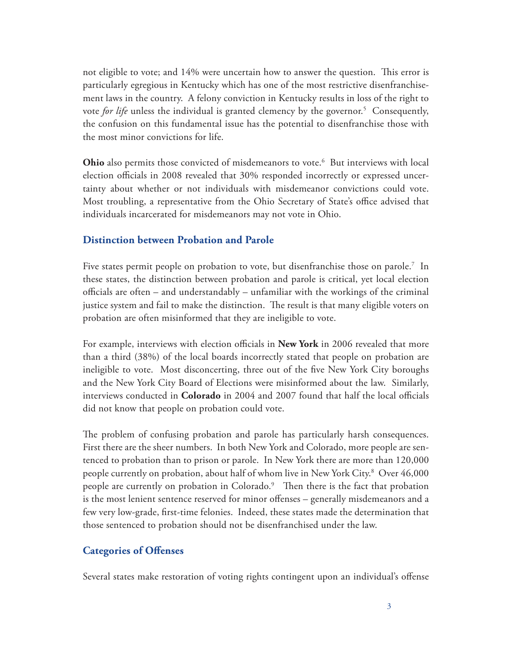not eligible to vote; and 14% were uncertain how to answer the question. This error is particularly egregious in Kentucky which has one of the most restrictive disenfranchisement laws in the country. A felony conviction in Kentucky results in loss of the right to vote *for life* unless the individual is granted clemency by the governor.<sup>5</sup> Consequently, the confusion on this fundamental issue has the potential to disenfranchise those with the most minor convictions for life.

Ohio also permits those convicted of misdemeanors to vote.<sup>6</sup> But interviews with local election officials in 2008 revealed that 30% responded incorrectly or expressed uncertainty about whether or not individuals with misdemeanor convictions could vote. Most troubling, a representative from the Ohio Secretary of State's office advised that individuals incarcerated for misdemeanors may not vote in Ohio.

# **Distinction between Probation and Parole**

Five states permit people on probation to vote, but disenfranchise those on parole.7 In these states, the distinction between probation and parole is critical, yet local election officials are often – and understandably – unfamiliar with the workings of the criminal justice system and fail to make the distinction. The result is that many eligible voters on probation are often misinformed that they are ineligible to vote.

For example, interviews with election officials in **New York** in 2006 revealed that more than a third (38%) of the local boards incorrectly stated that people on probation are ineligible to vote. Most disconcerting, three out of the five New York City boroughs and the New York City Board of Elections were misinformed about the law. Similarly, interviews conducted in **Colorado** in 2004 and 2007 found that half the local officials did not know that people on probation could vote.

The problem of confusing probation and parole has particularly harsh consequences. First there are the sheer numbers. In both New York and Colorado, more people are sentenced to probation than to prison or parole. In New York there are more than 120,000 people currently on probation, about half of whom live in New York City.<sup>8</sup> Over 46,000 people are currently on probation in Colorado.<sup>9</sup> Then there is the fact that probation is the most lenient sentence reserved for minor offenses – generally misdemeanors and a few very low-grade, first-time felonies. Indeed, these states made the determination that those sentenced to probation should not be disenfranchised under the law.

# **Categories of Offenses**

Several states make restoration of voting rights contingent upon an individual's offense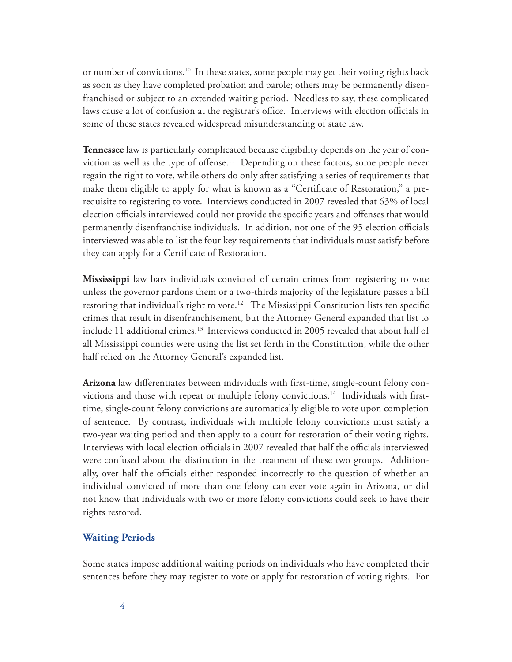or number of convictions.10 In these states, some people may get their voting rights back as soon as they have completed probation and parole; others may be permanently disenfranchised or subject to an extended waiting period. Needless to say, these complicated laws cause a lot of confusion at the registrar's office. Interviews with election officials in some of these states revealed widespread misunderstanding of state law.

**Tennessee** law is particularly complicated because eligibility depends on the year of conviction as well as the type of offense.<sup>11</sup> Depending on these factors, some people never regain the right to vote, while others do only after satisfying a series of requirements that make them eligible to apply for what is known as a "Certificate of Restoration," a prerequisite to registering to vote. Interviews conducted in 2007 revealed that 63% of local election officials interviewed could not provide the specific years and offenses that would permanently disenfranchise individuals. In addition, not one of the 95 election officials interviewed was able to list the four key requirements that individuals must satisfy before they can apply for a Certificate of Restoration.

**Mississippi** law bars individuals convicted of certain crimes from registering to vote unless the governor pardons them or a two-thirds majority of the legislature passes a bill restoring that individual's right to vote.<sup>12</sup> The Mississippi Constitution lists ten specific crimes that result in disenfranchisement, but the Attorney General expanded that list to include 11 additional crimes.<sup>13</sup> Interviews conducted in 2005 revealed that about half of all Mississippi counties were using the list set forth in the Constitution, while the other half relied on the Attorney General's expanded list.

**Arizona** law differentiates between individuals with first-time, single-count felony convictions and those with repeat or multiple felony convictions.<sup>14</sup> Individuals with firsttime, single-count felony convictions are automatically eligible to vote upon completion of sentence. By contrast, individuals with multiple felony convictions must satisfy a two-year waiting period and then apply to a court for restoration of their voting rights. Interviews with local election officials in 2007 revealed that half the officials interviewed were confused about the distinction in the treatment of these two groups. Additionally, over half the officials either responded incorrectly to the question of whether an individual convicted of more than one felony can ever vote again in Arizona, or did not know that individuals with two or more felony convictions could seek to have their rights restored.

#### **Waiting Periods**

Some states impose additional waiting periods on individuals who have completed their sentences before they may register to vote or apply for restoration of voting rights. For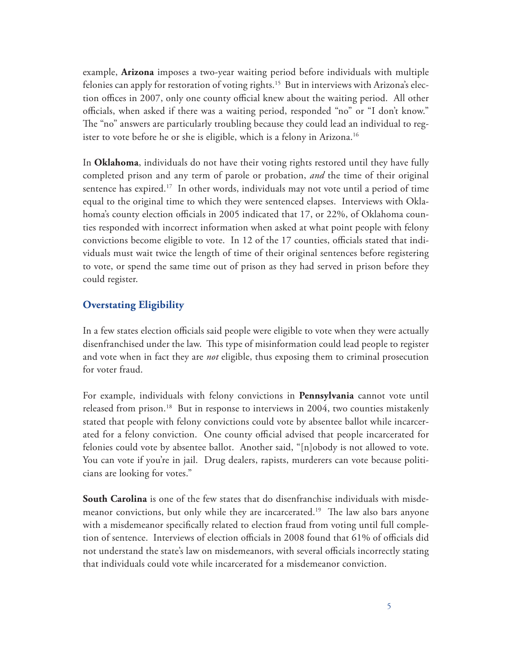example, **Arizona** imposes a two-year waiting period before individuals with multiple felonies can apply for restoration of voting rights.<sup>15</sup> But in interviews with Arizona's election offices in 2007, only one county official knew about the waiting period. All other officials, when asked if there was a waiting period, responded "no" or "I don't know." The "no" answers are particularly troubling because they could lead an individual to register to vote before he or she is eligible, which is a felony in Arizona.<sup>16</sup>

In **Oklahoma**, individuals do not have their voting rights restored until they have fully completed prison and any term of parole or probation, *and* the time of their original sentence has expired.<sup>17</sup> In other words, individuals may not vote until a period of time equal to the original time to which they were sentenced elapses. Interviews with Oklahoma's county election officials in 2005 indicated that 17, or 22%, of Oklahoma counties responded with incorrect information when asked at what point people with felony convictions become eligible to vote. In 12 of the 17 counties, officials stated that individuals must wait twice the length of time of their original sentences before registering to vote, or spend the same time out of prison as they had served in prison before they could register.

# **Overstating Eligibility**

In a few states election officials said people were eligible to vote when they were actually disenfranchised under the law. This type of misinformation could lead people to register and vote when in fact they are *not* eligible, thus exposing them to criminal prosecution for voter fraud.

For example, individuals with felony convictions in **Pennsylvania** cannot vote until released from prison.<sup>18</sup> But in response to interviews in 2004, two counties mistakenly stated that people with felony convictions could vote by absentee ballot while incarcerated for a felony conviction. One county official advised that people incarcerated for felonies could vote by absentee ballot. Another said, "[n]obody is not allowed to vote. You can vote if you're in jail. Drug dealers, rapists, murderers can vote because politicians are looking for votes."

**South Carolina** is one of the few states that do disenfranchise individuals with misdemeanor convictions, but only while they are incarcerated.<sup>19</sup> The law also bars anyone with a misdemeanor specifically related to election fraud from voting until full completion of sentence. Interviews of election officials in 2008 found that 61% of officials did not understand the state's law on misdemeanors, with several officials incorrectly stating that individuals could vote while incarcerated for a misdemeanor conviction.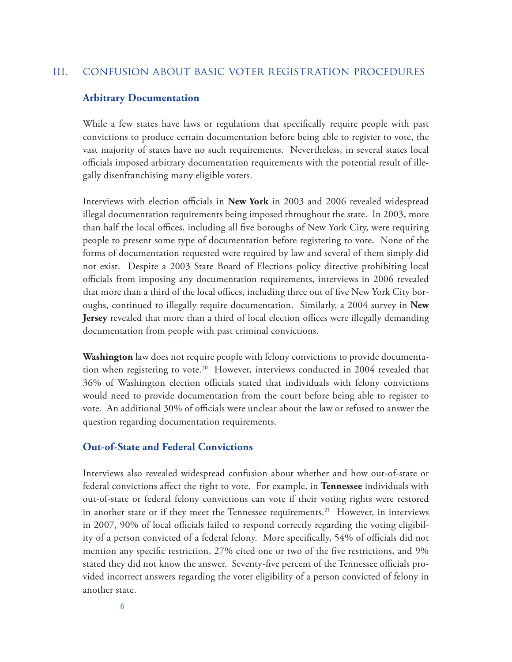#### iii. confusion about basic voter registration procedures

#### **Arbitrary Documentation**

While a few states have laws or regulations that specifically require people with past convictions to produce certain documentation before being able to register to vote, the vast majority of states have no such requirements. Nevertheless, in several states local officials imposed arbitrary documentation requirements with the potential result of illegally disenfranchising many eligible voters.

Interviews with election officials in **New York** in 2003 and 2006 revealed widespread illegal documentation requirements being imposed throughout the state. In 2003, more than half the local offices, including all five boroughs of New York City, were requiring people to present some type of documentation before registering to vote. None of the forms of documentation requested were required by law and several of them simply did not exist. Despite a 2003 State Board of Elections policy directive prohibiting local officials from imposing any documentation requirements, interviews in 2006 revealed that more than a third of the local offices, including three out of five New York City boroughs, continued to illegally require documentation. Similarly, a 2004 survey in **New Jersey** revealed that more than a third of local election offices were illegally demanding documentation from people with past criminal convictions.

**Washington** law does not require people with felony convictions to provide documentation when registering to vote.20 However, interviews conducted in 2004 revealed that 36% of Washington election officials stated that individuals with felony convictions would need to provide documentation from the court before being able to register to vote. An additional 30% of officials were unclear about the law or refused to answer the question regarding documentation requirements.

# **Out-of-State and Federal Convictions**

Interviews also revealed widespread confusion about whether and how out-of-state or federal convictions affect the right to vote. For example, in **Tennessee** individuals with out-of-state or federal felony convictions can vote if their voting rights were restored in another state or if they meet the Tennessee requirements.<sup>21</sup> However, in interviews in 2007, 90% of local officials failed to respond correctly regarding the voting eligibility of a person convicted of a federal felony. More specifically, 54% of officials did not mention any specific restriction, 27% cited one or two of the five restrictions, and 9% stated they did not know the answer. Seventy-five percent of the Tennessee officials provided incorrect answers regarding the voter eligibility of a person convicted of felony in another state.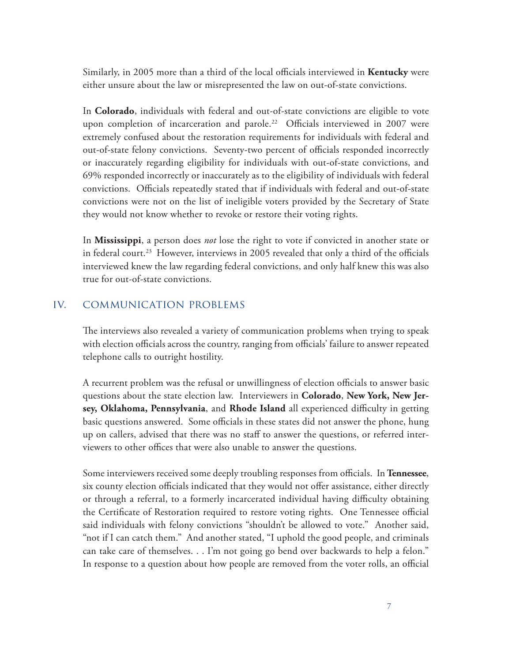Similarly, in 2005 more than a third of the local officials interviewed in **Kentucky** were either unsure about the law or misrepresented the law on out-of-state convictions.

In **Colorado**, individuals with federal and out-of-state convictions are eligible to vote upon completion of incarceration and parole.<sup>22</sup> Officials interviewed in 2007 were extremely confused about the restoration requirements for individuals with federal and out-of-state felony convictions. Seventy-two percent of officials responded incorrectly or inaccurately regarding eligibility for individuals with out-of-state convictions, and 69% responded incorrectly or inaccurately as to the eligibility of individuals with federal convictions. Officials repeatedly stated that if individuals with federal and out-of-state convictions were not on the list of ineligible voters provided by the Secretary of State they would not know whether to revoke or restore their voting rights.

In **Mississippi**, a person does *not* lose the right to vote if convicted in another state or in federal court.<sup>23</sup> However, interviews in 2005 revealed that only a third of the officials interviewed knew the law regarding federal convictions, and only half knew this was also true for out-of-state convictions.

#### iv. communication problems

The interviews also revealed a variety of communication problems when trying to speak with election officials across the country, ranging from officials' failure to answer repeated telephone calls to outright hostility.

A recurrent problem was the refusal or unwillingness of election officials to answer basic questions about the state election law. Interviewers in **Colorado**, **New York, New Jersey, Oklahoma, Pennsylvania**, and **Rhode Island** all experienced difficulty in getting basic questions answered. Some officials in these states did not answer the phone, hung up on callers, advised that there was no staff to answer the questions, or referred interviewers to other offices that were also unable to answer the questions.

Some interviewers received some deeply troubling responses from officials. In **Tennessee**, six county election officials indicated that they would not offer assistance, either directly or through a referral, to a formerly incarcerated individual having difficulty obtaining the Certificate of Restoration required to restore voting rights. One Tennessee official said individuals with felony convictions "shouldn't be allowed to vote." Another said, "not if I can catch them." And another stated, "I uphold the good people, and criminals can take care of themselves. . . I'm not going go bend over backwards to help a felon." In response to a question about how people are removed from the voter rolls, an official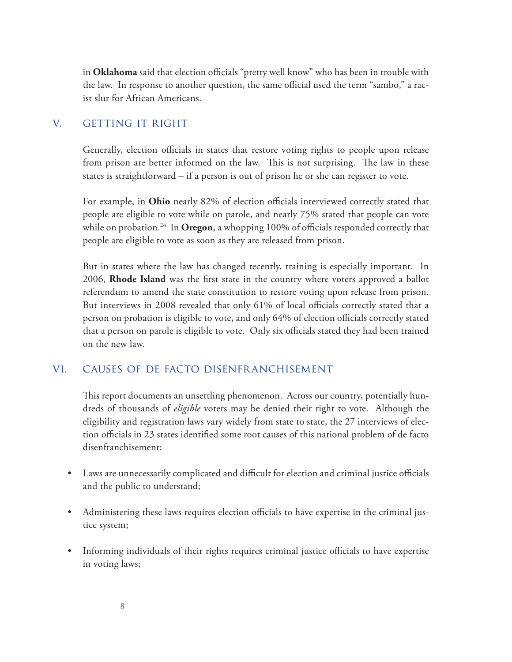in **Oklahoma** said that election officials "pretty well know" who has been in trouble with the law. In response to another question, the same official used the term "sambo," a racist slur for African Americans.

# v. getting it right

Generally, election officials in states that restore voting rights to people upon release from prison are better informed on the law. This is not surprising. The law in these states is straightforward – if a person is out of prison he or she can register to vote.

For example, in **Ohio** nearly 82% of election officials interviewed correctly stated that people are eligible to vote while on parole, and nearly 75% stated that people can vote while on probation.<sup>24</sup> In **Oregon**, a whopping 100% of officials responded correctly that people are eligible to vote as soon as they are released from prison.

But in states where the law has changed recently, training is especially important. In 2006, **Rhode Island** was the first state in the country where voters approved a ballot referendum to amend the state constitution to restore voting upon release from prison. But interviews in 2008 revealed that only 61% of local officials correctly stated that a person on probation is eligible to vote, and only 64% of election officials correctly stated that a person on parole is eligible to vote. Only six officials stated they had been trained on the new law.

# vi. causes of de facto disenfranchisement

This report documents an unsettling phenomenon. Across our country, potentially hundreds of thousands of *eligible* voters may be denied their right to vote. Although the eligibility and registration laws vary widely from state to state, the 27 interviews of election officials in 23 states identified some root causes of this national problem of de facto disenfranchisement:

- Laws are unnecessarily complicated and difficult for election and criminal justice officials and the public to understand;
- Administering these laws requires election officials to have expertise in the criminal justice system;
- Informing individuals of their rights requires criminal justice officials to have expertise in voting laws;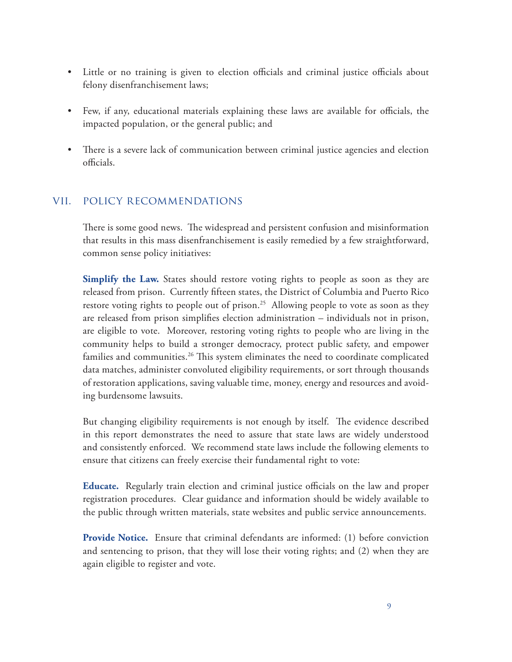- Little or no training is given to election officials and criminal justice officials about felony disenfranchisement laws;
- • Few, if any, educational materials explaining these laws are available for officials, the impacted population, or the general public; and
- There is a severe lack of communication between criminal justice agencies and election officials.

# vii. policy recommendations

There is some good news. The widespread and persistent confusion and misinformation that results in this mass disenfranchisement is easily remedied by a few straightforward, common sense policy initiatives:

**Simplify the Law.** States should restore voting rights to people as soon as they are released from prison. Currently fifteen states, the District of Columbia and Puerto Rico restore voting rights to people out of prison.<sup>25</sup> Allowing people to vote as soon as they are released from prison simplifies election administration – individuals not in prison, are eligible to vote. Moreover, restoring voting rights to people who are living in the community helps to build a stronger democracy, protect public safety, and empower families and communities.<sup>26</sup> This system eliminates the need to coordinate complicated data matches, administer convoluted eligibility requirements, or sort through thousands of restoration applications, saving valuable time, money, energy and resources and avoiding burdensome lawsuits.

But changing eligibility requirements is not enough by itself. The evidence described in this report demonstrates the need to assure that state laws are widely understood and consistently enforced. We recommend state laws include the following elements to ensure that citizens can freely exercise their fundamental right to vote:

**Educate.** Regularly train election and criminal justice officials on the law and proper registration procedures. Clear guidance and information should be widely available to the public through written materials, state websites and public service announcements.

**Provide Notice.** Ensure that criminal defendants are informed: (1) before conviction and sentencing to prison, that they will lose their voting rights; and (2) when they are again eligible to register and vote.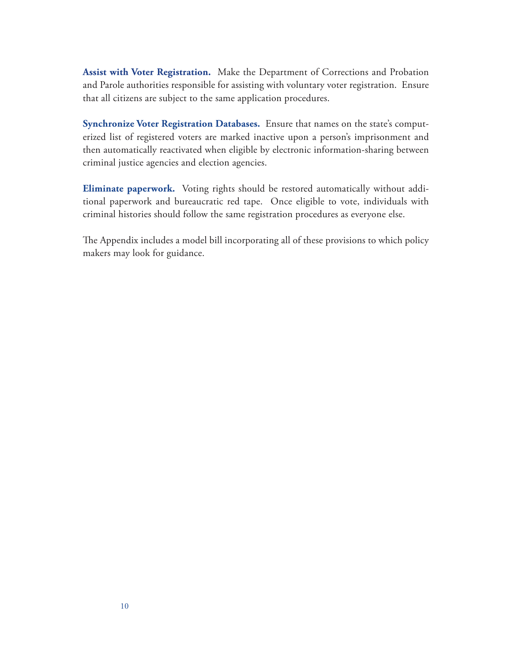**Assist with Voter Registration.** Make the Department of Corrections and Probation and Parole authorities responsible for assisting with voluntary voter registration. Ensure that all citizens are subject to the same application procedures.

**Synchronize Voter Registration Databases.** Ensure that names on the state's computerized list of registered voters are marked inactive upon a person's imprisonment and then automatically reactivated when eligible by electronic information-sharing between criminal justice agencies and election agencies.

**Eliminate paperwork.** Voting rights should be restored automatically without additional paperwork and bureaucratic red tape. Once eligible to vote, individuals with criminal histories should follow the same registration procedures as everyone else.

The Appendix includes a model bill incorporating all of these provisions to which policy makers may look for guidance.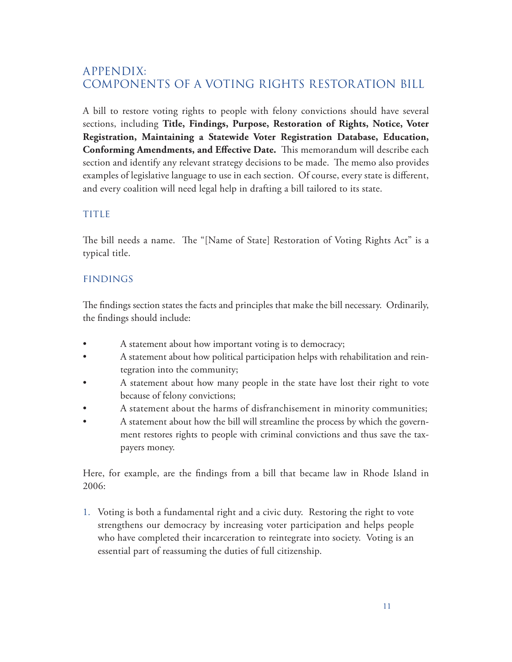# APPENDIX: Components of a Voting Rights Restoration Bill

A bill to restore voting rights to people with felony convictions should have several sections, including **Title, Findings, Purpose, Restoration of Rights, Notice, Voter Registration, Maintaining a Statewide Voter Registration Database, Education, Conforming Amendments, and Effective Date.** This memorandum will describe each section and identify any relevant strategy decisions to be made. The memo also provides examples of legislative language to use in each section. Of course, every state is different, and every coalition will need legal help in drafting a bill tailored to its state.

# title

The bill needs a name. The "[Name of State] Restoration of Voting Rights Act" is a typical title.

# findings

The findings section states the facts and principles that make the bill necessary. Ordinarily, the findings should include:

- A statement about how important voting is to democracy;
- A statement about how political participation helps with rehabilitation and reintegration into the community;
- A statement about how many people in the state have lost their right to vote because of felony convictions;
- A statement about the harms of disfranchisement in minority communities;
- A statement about how the bill will streamline the process by which the government restores rights to people with criminal convictions and thus save the taxpayers money.

Here, for example, are the findings from a bill that became law in Rhode Island in 2006:

1. Voting is both a fundamental right and a civic duty. Restoring the right to vote strengthens our democracy by increasing voter participation and helps people who have completed their incarceration to reintegrate into society. Voting is an essential part of reassuming the duties of full citizenship.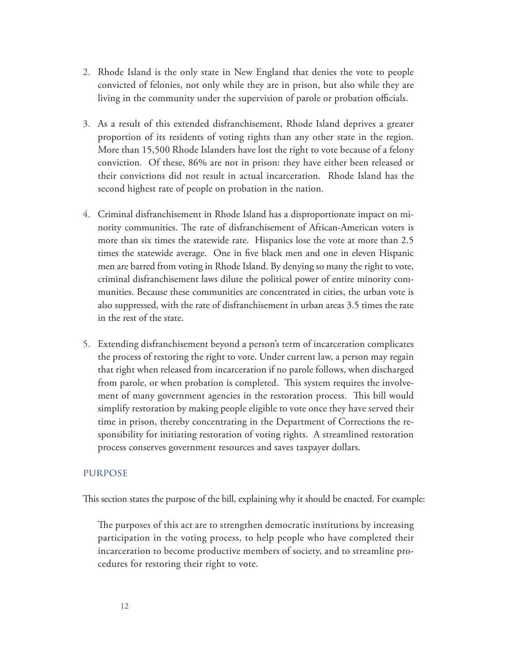- 2. Rhode Island is the only state in New England that denies the vote to people convicted of felonies, not only while they are in prison, but also while they are living in the community under the supervision of parole or probation officials.
- 3. As a result of this extended disfranchisement, Rhode Island deprives a greater proportion of its residents of voting rights than any other state in the region. More than 15,500 Rhode Islanders have lost the right to vote because of a felony conviction. Of these, 86% are not in prison: they have either been released or their convictions did not result in actual incarceration. Rhode Island has the second highest rate of people on probation in the nation.
- 4. Criminal disfranchisement in Rhode Island has a disproportionate impact on minority communities. The rate of disfranchisement of African-American voters is more than six times the statewide rate. Hispanics lose the vote at more than 2.5 times the statewide average. One in five black men and one in eleven Hispanic men are barred from voting in Rhode Island. By denying so many the right to vote, criminal disfranchisement laws dilute the political power of entire minority communities. Because these communities are concentrated in cities, the urban vote is also suppressed, with the rate of disfranchisement in urban areas 3.5 times the rate in the rest of the state.
- 5. Extending disfranchisement beyond a person's term of incarceration complicates the process of restoring the right to vote. Under current law, a person may regain that right when released from incarceration if no parole follows, when discharged from parole, or when probation is completed. This system requires the involvement of many government agencies in the restoration process. This bill would simplify restoration by making people eligible to vote once they have served their time in prison, thereby concentrating in the Department of Corrections the responsibility for initiating restoration of voting rights. A streamlined restoration process conserves government resources and saves taxpayer dollars.

#### purpose

This section states the purpose of the bill, explaining why it should be enacted. For example:

The purposes of this act are to strengthen democratic institutions by increasing participation in the voting process, to help people who have completed their incarceration to become productive members of society, and to streamline procedures for restoring their right to vote.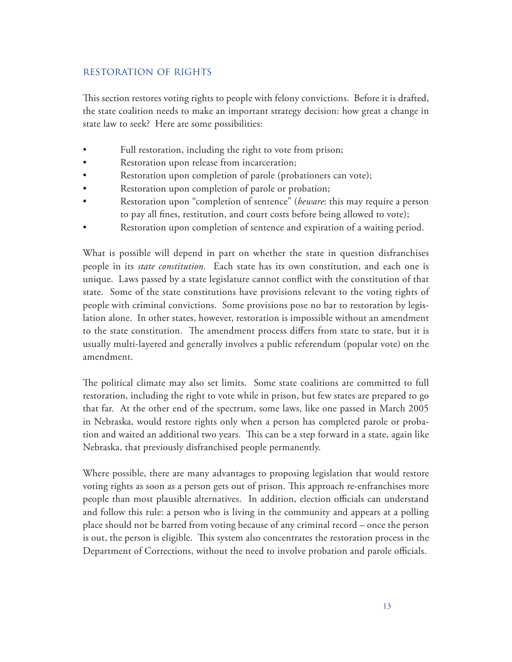# restoration of rights

This section restores voting rights to people with felony convictions. Before it is drafted, the state coalition needs to make an important strategy decision: how great a change in state law to seek? Here are some possibilities:

- Full restoration, including the right to vote from prison;
- Restoration upon release from incarceration;
- Restoration upon completion of parole (probationers can vote);
- Restoration upon completion of parole or probation;
- Restoration upon "completion of sentence" (*beware*: this may require a person to pay all fines, restitution, and court costs before being allowed to vote);
- Restoration upon completion of sentence and expiration of a waiting period.

What is possible will depend in part on whether the state in question disfranchises people in its *state constitution.* Each state has its own constitution, and each one is unique. Laws passed by a state legislature cannot conflict with the constitution of that state. Some of the state constitutions have provisions relevant to the voting rights of people with criminal convictions. Some provisions pose no bar to restoration by legislation alone. In other states, however, restoration is impossible without an amendment to the state constitution. The amendment process differs from state to state, but it is usually multi-layered and generally involves a public referendum (popular vote) on the amendment.

The political climate may also set limits. Some state coalitions are committed to full restoration, including the right to vote while in prison, but few states are prepared to go that far. At the other end of the spectrum, some laws, like one passed in March 2005 in Nebraska, would restore rights only when a person has completed parole or probation and waited an additional two years. This can be a step forward in a state, again like Nebraska, that previously disfranchised people permanently.

Where possible, there are many advantages to proposing legislation that would restore voting rights as soon as a person gets out of prison. This approach re-enfranchises more people than most plausible alternatives. In addition, election officials can understand and follow this rule: a person who is living in the community and appears at a polling place should not be barred from voting because of any criminal record – once the person is out, the person is eligible. This system also concentrates the restoration process in the Department of Corrections, without the need to involve probation and parole officials.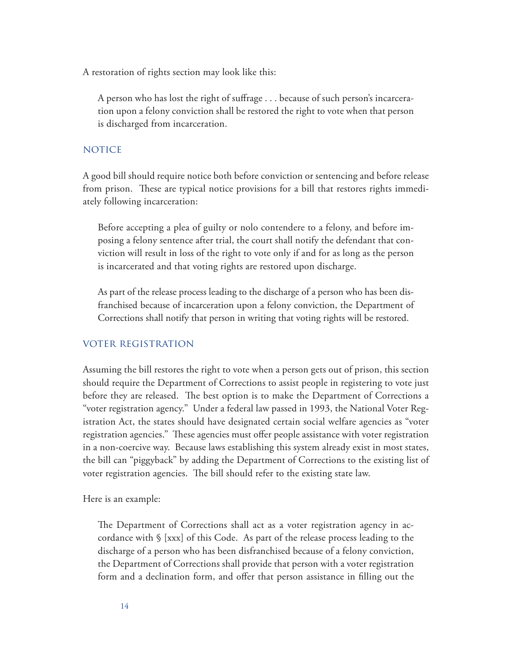A restoration of rights section may look like this:

A person who has lost the right of suffrage . . . because of such person's incarceration upon a felony conviction shall be restored the right to vote when that person is discharged from incarceration.

#### **NOTICE**

A good bill should require notice both before conviction or sentencing and before release from prison. These are typical notice provisions for a bill that restores rights immediately following incarceration:

Before accepting a plea of guilty or nolo contendere to a felony, and before imposing a felony sentence after trial, the court shall notify the defendant that conviction will result in loss of the right to vote only if and for as long as the person is incarcerated and that voting rights are restored upon discharge.

As part of the release process leading to the discharge of a person who has been disfranchised because of incarceration upon a felony conviction, the Department of Corrections shall notify that person in writing that voting rights will be restored.

#### voter registration

Assuming the bill restores the right to vote when a person gets out of prison, this section should require the Department of Corrections to assist people in registering to vote just before they are released. The best option is to make the Department of Corrections a "voter registration agency." Under a federal law passed in 1993, the National Voter Registration Act, the states should have designated certain social welfare agencies as "voter registration agencies." These agencies must offer people assistance with voter registration in a non-coercive way. Because laws establishing this system already exist in most states, the bill can "piggyback" by adding the Department of Corrections to the existing list of voter registration agencies. The bill should refer to the existing state law.

Here is an example:

The Department of Corrections shall act as a voter registration agency in accordance with § [xxx] of this Code. As part of the release process leading to the discharge of a person who has been disfranchised because of a felony conviction, the Department of Corrections shall provide that person with a voter registration form and a declination form, and offer that person assistance in filling out the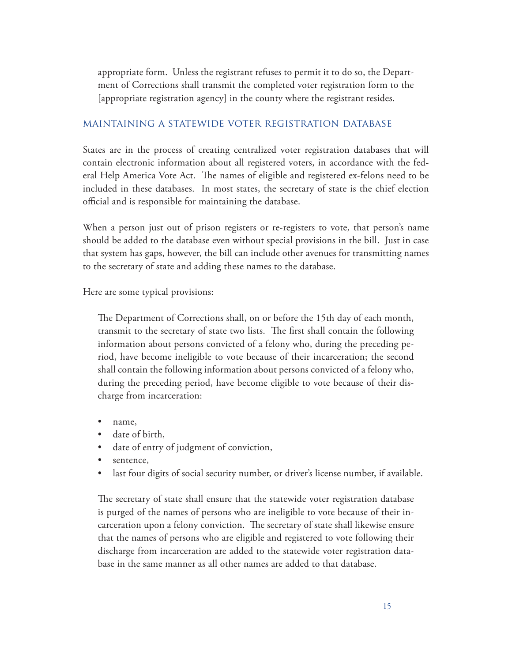appropriate form. Unless the registrant refuses to permit it to do so, the Department of Corrections shall transmit the completed voter registration form to the [appropriate registration agency] in the county where the registrant resides.

#### maintaining a statewide voter registration database

States are in the process of creating centralized voter registration databases that will contain electronic information about all registered voters, in accordance with the federal Help America Vote Act. The names of eligible and registered ex-felons need to be included in these databases. In most states, the secretary of state is the chief election official and is responsible for maintaining the database.

When a person just out of prison registers or re-registers to vote, that person's name should be added to the database even without special provisions in the bill. Just in case that system has gaps, however, the bill can include other avenues for transmitting names to the secretary of state and adding these names to the database.

Here are some typical provisions:

The Department of Corrections shall, on or before the 15th day of each month, transmit to the secretary of state two lists. The first shall contain the following information about persons convicted of a felony who, during the preceding period, have become ineligible to vote because of their incarceration; the second shall contain the following information about persons convicted of a felony who, during the preceding period, have become eligible to vote because of their discharge from incarceration:

- name.
- date of birth,
- date of entry of judgment of conviction,
- sentence,
- last four digits of social security number, or driver's license number, if available.

The secretary of state shall ensure that the statewide voter registration database is purged of the names of persons who are ineligible to vote because of their incarceration upon a felony conviction. The secretary of state shall likewise ensure that the names of persons who are eligible and registered to vote following their discharge from incarceration are added to the statewide voter registration database in the same manner as all other names are added to that database.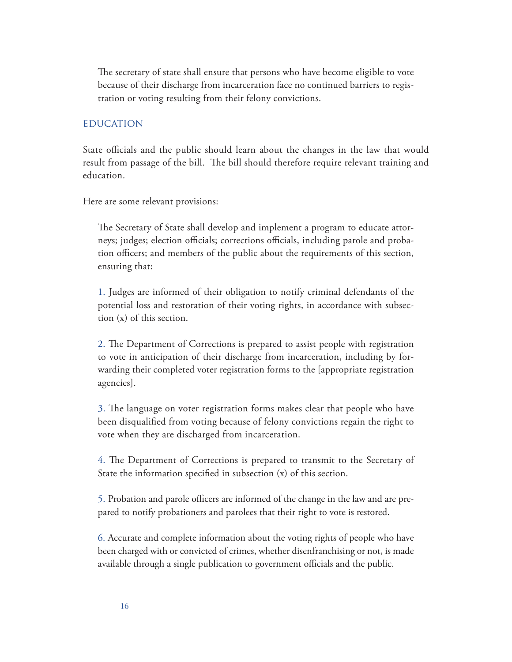The secretary of state shall ensure that persons who have become eligible to vote because of their discharge from incarceration face no continued barriers to registration or voting resulting from their felony convictions.

#### **EDUCATION**

State officials and the public should learn about the changes in the law that would result from passage of the bill. The bill should therefore require relevant training and education.

Here are some relevant provisions:

The Secretary of State shall develop and implement a program to educate attorneys; judges; election officials; corrections officials, including parole and probation officers; and members of the public about the requirements of this section, ensuring that:

1. Judges are informed of their obligation to notify criminal defendants of the potential loss and restoration of their voting rights, in accordance with subsection (x) of this section.

2. The Department of Corrections is prepared to assist people with registration to vote in anticipation of their discharge from incarceration, including by forwarding their completed voter registration forms to the [appropriate registration agencies].

3. The language on voter registration forms makes clear that people who have been disqualified from voting because of felony convictions regain the right to vote when they are discharged from incarceration.

4. The Department of Corrections is prepared to transmit to the Secretary of State the information specified in subsection (x) of this section.

5. Probation and parole officers are informed of the change in the law and are prepared to notify probationers and parolees that their right to vote is restored.

6. Accurate and complete information about the voting rights of people who have been charged with or convicted of crimes, whether disenfranchising or not, is made available through a single publication to government officials and the public.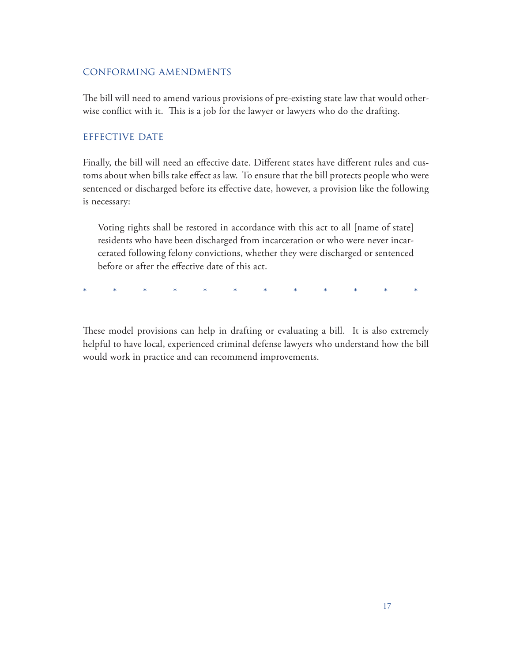#### conforming amendments

The bill will need to amend various provisions of pre-existing state law that would otherwise conflict with it. This is a job for the lawyer or lawyers who do the drafting.

#### effective date

Finally, the bill will need an effective date. Different states have different rules and customs about when bills take effect as law. To ensure that the bill protects people who were sentenced or discharged before its effective date, however, a provision like the following is necessary:

Voting rights shall be restored in accordance with this act to all [name of state] residents who have been discharged from incarceration or who were never incarcerated following felony convictions, whether they were discharged or sentenced before or after the effective date of this act.

\* \* \* \* \* \* \* \* \* \* \* \* \*

These model provisions can help in drafting or evaluating a bill. It is also extremely helpful to have local, experienced criminal defense lawyers who understand how the bill would work in practice and can recommend improvements.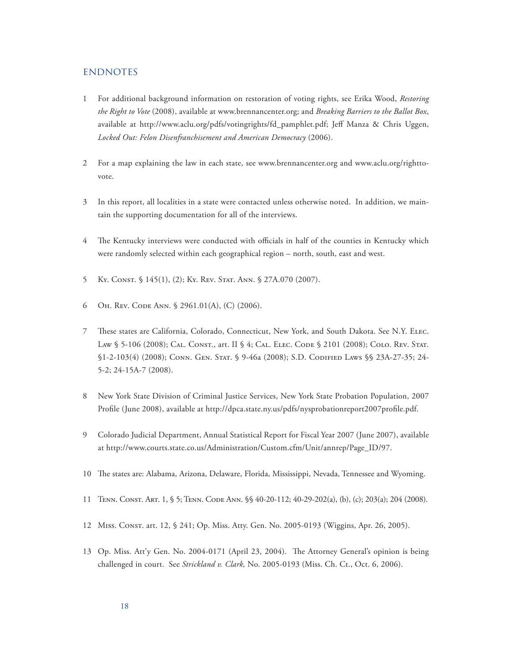#### **ENDNOTES**

- 1 For additional background information on restoration of voting rights, see Erika Wood, *Restoring the Right to Vote* (2008), available at www.brennancenter.org; and *Breaking Barriers to the Ballot Box*, available at http://www.aclu.org/pdfs/votingrights/fd\_pamphlet.pdf; Jeff Manza & Chris Uggen, *Locked Out: Felon Disenfranchisement and American Democracy* (2006).
- 2 For a map explaining the law in each state, see www.brennancenter.org and www.aclu.org/righttovote.
- 3 In this report, all localities in a state were contacted unless otherwise noted. In addition, we maintain the supporting documentation for all of the interviews.
- 4 The Kentucky interviews were conducted with officials in half of the counties in Kentucky which were randomly selected within each geographical region – north, south, east and west.
- 5 Ky. Const. § 145(1), (2); Ky. Rev. Stat. Ann. § 27A.070 (2007).
- 6 Oh. Rev. Code Ann. § 2961.01(A), (C) (2006).
- 7 These states are California, Colorado, Connecticut, New York, and South Dakota. See N.Y. Elec. LAW § 5-106 (2008); CAL. CONST., art. II § 4; CAL. ELEC. CODE § 2101 (2008); COLO. REV. STAT. §1-2-103(4) (2008); CONN. GEN. STAT. § 9-46a (2008); S.D. CODIFIED LAWS §§ 23A-27-35; 24-5-2; 24-15A-7 (2008).
- 8 New York State Division of Criminal Justice Services, New York State Probation Population, 2007 Profile (June 2008), available at http://dpca.state.ny.us/pdfs/nysprobationreport2007profile.pdf.
- 9 Colorado Judicial Department, Annual Statistical Report for Fiscal Year 2007 (June 2007), available at http://www.courts.state.co.us/Administration/Custom.cfm/Unit/annrep/Page\_ID/97.
- 10 The states are: Alabama, Arizona, Delaware, Florida, Mississippi, Nevada, Tennessee and Wyoming.
- 11 Tenn. Const. Art. 1, § 5; Tenn. Code Ann. §§ 40-20-112; 40-29-202(a), (b), (c); 203(a); 204 (2008).
- 12 Miss. Const. art. 12, § 241; Op. Miss. Atty. Gen. No. 2005-0193 (Wiggins, Apr. 26, 2005).
- 13 Op. Miss. Att'y Gen. No. 2004-0171 (April 23, 2004). The Attorney General's opinion is being challenged in court. See *Strickland v. Clark,* No. 2005-0193 (Miss. Ch. Ct., Oct. 6, 2006).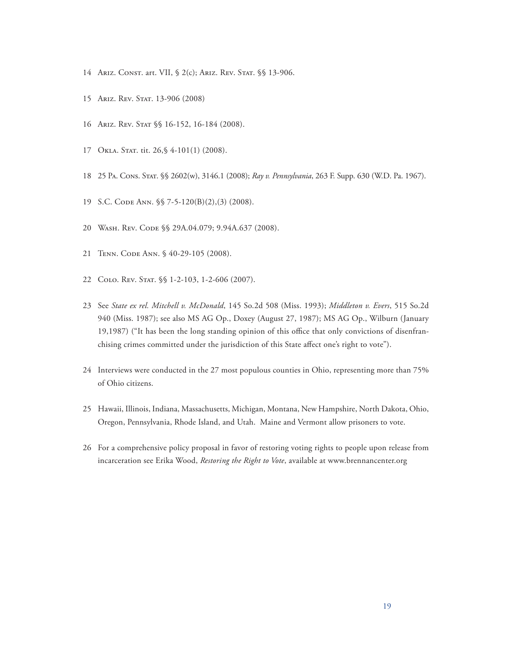- 14 ARIZ. CONST. art. VII, § 2(c); ARIZ. REV. STAT. § § 13-906.
- 15 Ariz. Rev. Stat. 13-906 (2008)
- 16 Ariz. Rev. Stat §§ 16-152, 16-184 (2008).
- 17 OKLA. STAT. tit. 26, § 4-101(1) (2008).
- 18 25 Pa. Cons. Stat. §§ 2602(w), 3146.1 (2008); *Ray v. Pennsylvania*, 263 F. Supp. 630 (W.D. Pa. 1967).
- 19 S.C. Code Ann. §§ 7-5-120(B)(2),(3) (2008).
- 20 Wash. Rev. Code §§ 29A.04.079; 9.94A.637 (2008).
- 21 Tenn. Code Ann. § 40-29-105 (2008).
- 22 COLO. REV. STAT. §§ 1-2-103, 1-2-606 (2007).
- 23 See *State ex rel. Mitchell v. McDonald*, 145 So.2d 508 (Miss. 1993); *Middleton v. Evers*, 515 So.2d 940 (Miss. 1987); see also MS AG Op., Doxey (August 27, 1987); MS AG Op., Wilburn (January 19,1987) ("It has been the long standing opinion of this office that only convictions of disenfranchising crimes committed under the jurisdiction of this State affect one's right to vote").
- 24 Interviews were conducted in the 27 most populous counties in Ohio, representing more than 75% of Ohio citizens.
- 25 Hawaii, Illinois, Indiana, Massachusetts, Michigan, Montana, New Hampshire, North Dakota, Ohio, Oregon, Pennsylvania, Rhode Island, and Utah. Maine and Vermont allow prisoners to vote.
- 26 For a comprehensive policy proposal in favor of restoring voting rights to people upon release from incarceration see Erika Wood, *Restoring the Right to Vote*, available at www.brennancenter.org